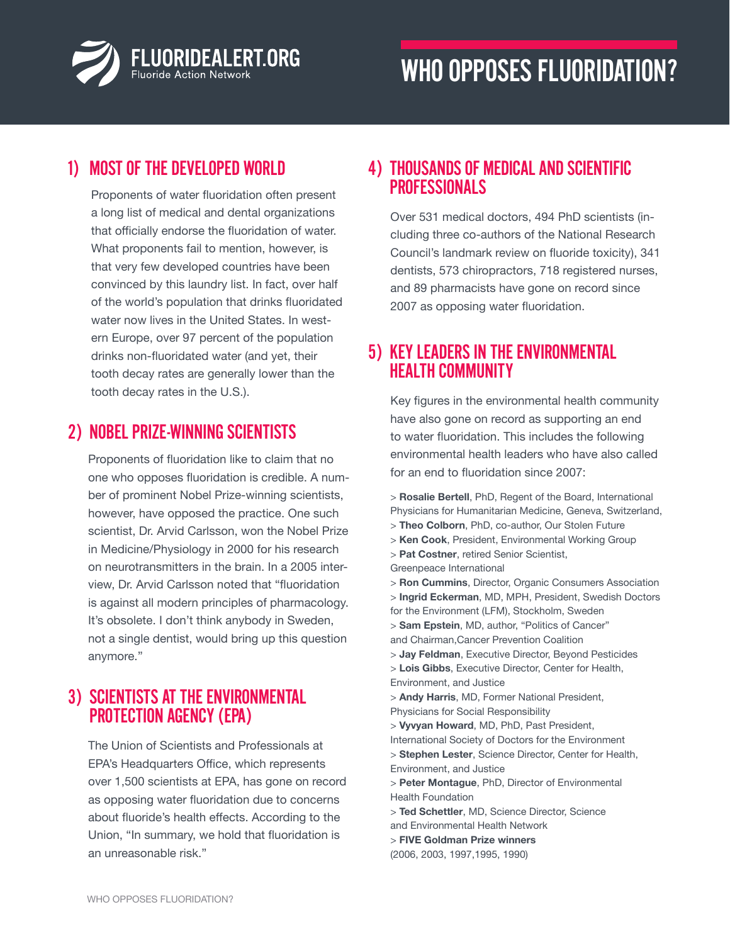

### 1) Most of the developed world

Proponents of water fluoridation often present a long list of medical and dental organizations that officially endorse the fluoridation of water. What proponents fail to mention, however, is that very few developed countries have been convinced by this laundry list. In fact, over half of the world's population that drinks fluoridated water now lives in the United States. In western Europe, over 97 percent of the population drinks non-fluoridated water (and yet, their tooth decay rates are generally lower than the tooth decay rates in the U.S.).

### 2) nobel prize-winning scientists

Proponents of fluoridation like to claim that no one who opposes fluoridation is credible. A number of prominent Nobel Prize-winning scientists, however, have opposed the practice. One such scientist, Dr. Arvid Carlsson, won the Nobel Prize in Medicine/Physiology in 2000 for his research on neurotransmitters in the brain. In a 2005 interview, Dr. Arvid Carlsson noted that "fluoridation is against all modern principles of pharmacology. It's obsolete. I don't think anybody in Sweden, not a single dentist, would bring up this question anymore."

## 3) Scientists at the Environmental Protection Agency (EPA)

The Union of Scientists and Professionals at EPA's Headquarters Office, which represents over 1,500 scientists at EPA, has gone on record as opposing water fluoridation due to concerns about fluoride's health effects. According to the Union, "In summary, we hold that fluoridation is an unreasonable risk."

#### 4) Thousands of Medical and Scientific **PROFESSIONALS**

Over 531 medical doctors, 494 PhD scientists (including three co-authors of the National Research Council's landmark review on fluoride toxicity), 341 dentists, 573 chiropractors, 718 registered nurses, and 89 pharmacists have gone on record since 2007 as opposing water fluoridation.

# 5) Key Leaders in the Environmental Health Community

Key figures in the environmental health community have also gone on record as supporting an end to water fluoridation. This includes the following environmental health leaders who have also called for an end to fluoridation since 2007:

> **Rosalie Bertell**, PhD, Regent of the Board, International Physicians for Humanitarian Medicine, Geneva, Switzerland, > **Theo Colborn**, PhD, co-author, Our Stolen Future > **Ken Cook**, President, Environmental Working Group > **Pat Costner**, retired Senior Scientist, Greenpeace International > **Ron Cummins**, Director, Organic Consumers Association > **Ingrid Eckerman**, MD, MPH, President, Swedish Doctors for the Environment (LFM), Stockholm, Sweden > **Sam Epstein**, MD, author, "Politics of Cancer" and Chairman,Cancer Prevention Coalition > **Jay Feldman**, Executive Director, Beyond Pesticides > **Lois Gibbs**, Executive Director, Center for Health, Environment, and Justice > **Andy Harris**, MD, Former National President, Physicians for Social Responsibility > **Vyvyan Howard**, MD, PhD, Past President, International Society of Doctors for the Environment > **Stephen Lester**, Science Director, Center for Health, Environment, and Justice > **Peter Montague**, PhD, Director of Environmental Health Foundation > **Ted Schettler**, MD, Science Director, Science and Environmental Health Network > **FIVE Goldman Prize winners**

(2006, 2003, 1997,1995, 1990)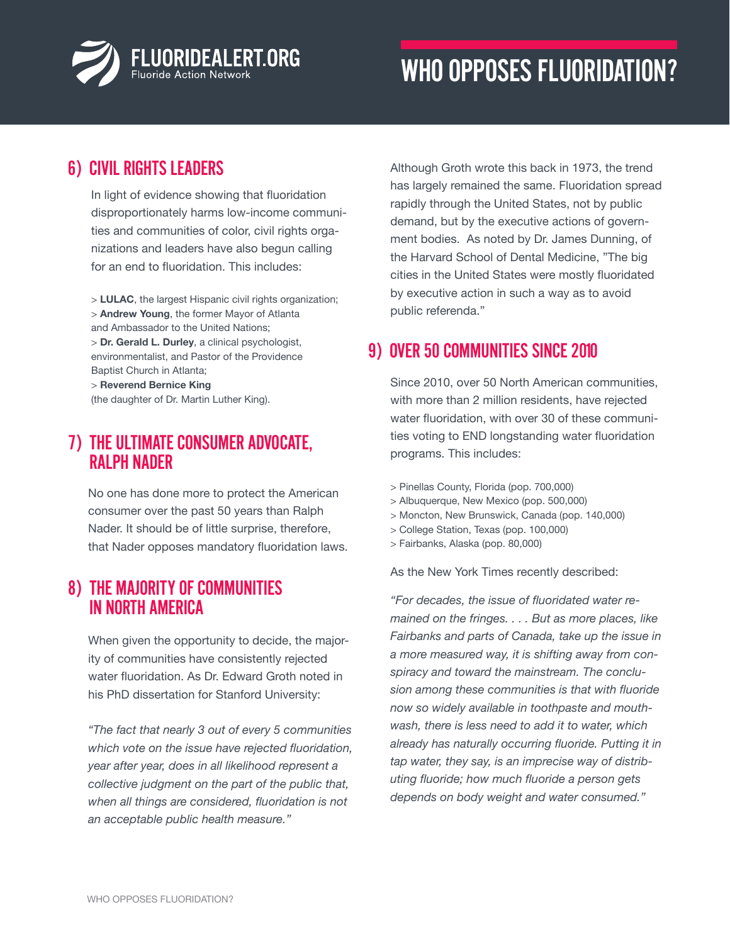

### 6) Civil Rights Leaders

In light of evidence showing that fluoridation disproportionately harms low-income communities and communities of color, civil rights organizations and leaders have also begun calling for an end to fluoridation. This includes:

> **LULAC**, the largest Hispanic civil rights organization; > **Andrew Young**, the former Mayor of Atlanta and Ambassador to the United Nations; > **Dr. Gerald L. Durley**, a clinical psychologist, environmentalist, and Pastor of the Providence Baptist Church in Atlanta; > **Reverend Bernice King**

(the daughter of Dr. Martin Luther King).

# 7) The Ultimate Consumer Advocate, Ralph Nader

No one has done more to protect the American consumer over the past 50 years than Ralph Nader. It should be of little surprise, therefore, that Nader opposes mandatory fluoridation laws.

#### 8) The Majority of Communities in North America

When given the opportunity to decide, the majority of communities have consistently rejected water fluoridation. As Dr. Edward Groth noted in his PhD dissertation for Stanford University:

*"The fact that nearly 3 out of every 5 communities which vote on the issue have rejected fluoridation, year after year, does in all likelihood represent a collective judgment on the part of the public that, when all things are considered, fluoridation is not an acceptable public health measure."*

Although Groth wrote this back in 1973, the trend has largely remained the same. Fluoridation spread rapidly through the United States, not by public demand, but by the executive actions of government bodies. As noted by Dr. James Dunning, of the Harvard School of Dental Medicine, "The big cities in the United States were mostly fluoridated by executive action in such a way as to avoid public referenda."

### 9) Over 50 Communities Since 2010

Since 2010, over 50 North American communities, with more than 2 million residents, have rejected water fluoridation, with over 30 of these communities voting to END longstanding water fluoridation programs. This includes:

- > Pinellas County, Florida (pop. 700,000)
- > Albuquerque, New Mexico (pop. 500,000)
- > Moncton, New Brunswick, Canada (pop. 140,000)
- > College Station, Texas (pop. 100,000)
- > Fairbanks, Alaska (pop. 80,000)

As the New York Times recently described:

*"For decades, the issue of fluoridated water remained on the fringes. . . . But as more places, like Fairbanks and parts of Canada, take up the issue in a more measured way, it is shifting away from conspiracy and toward the mainstream. The conclusion among these communities is that with fluoride now so widely available in toothpaste and mouthwash, there is less need to add it to water, which already has naturally occurring fluoride. Putting it in tap water, they say, is an imprecise way of distributing fluoride; how much fluoride a person gets depends on body weight and water consumed."*